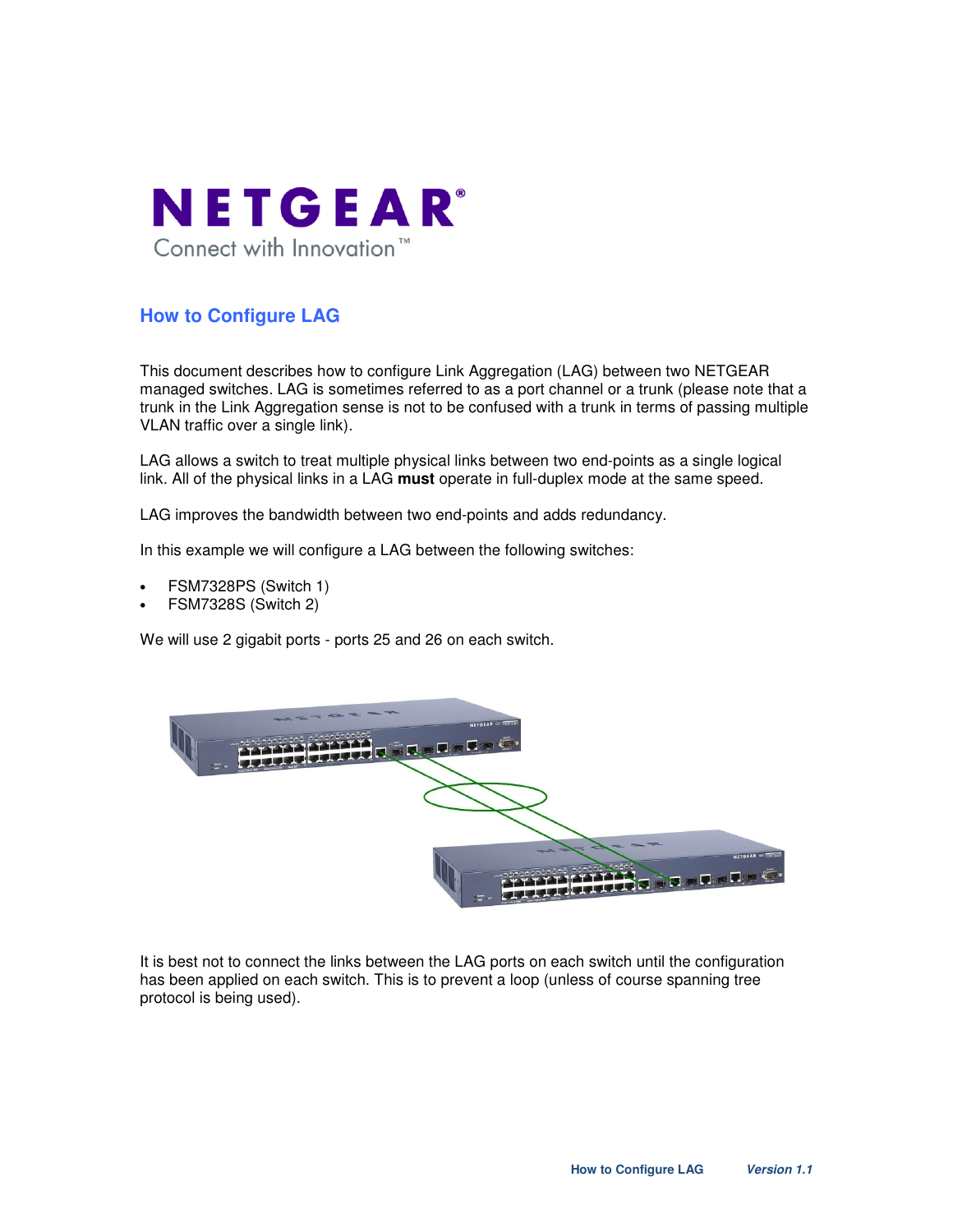

# **How to Configure LAG**

This document describes how to configure Link Aggregation (LAG) between two NETGEAR managed switches. LAG is sometimes referred to as a port channel or a trunk (please note that a trunk in the Link Aggregation sense is not to be confused with a trunk in terms of passing multiple VLAN traffic over a single link).

LAG allows a switch to treat multiple physical links between two end-points as a single logical link. All of the physical links in a LAG **must** operate in full-duplex mode at the same speed.

LAG improves the bandwidth between two end-points and adds redundancy.

In this example we will configure a LAG between the following switches:

- FSM7328PS (Switch 1)
- FSM7328S (Switch 2)

We will use 2 gigabit ports - ports 25 and 26 on each switch.



It is best not to connect the links between the LAG ports on each switch until the configuration has been applied on each switch. This is to prevent a loop (unless of course spanning tree protocol is being used).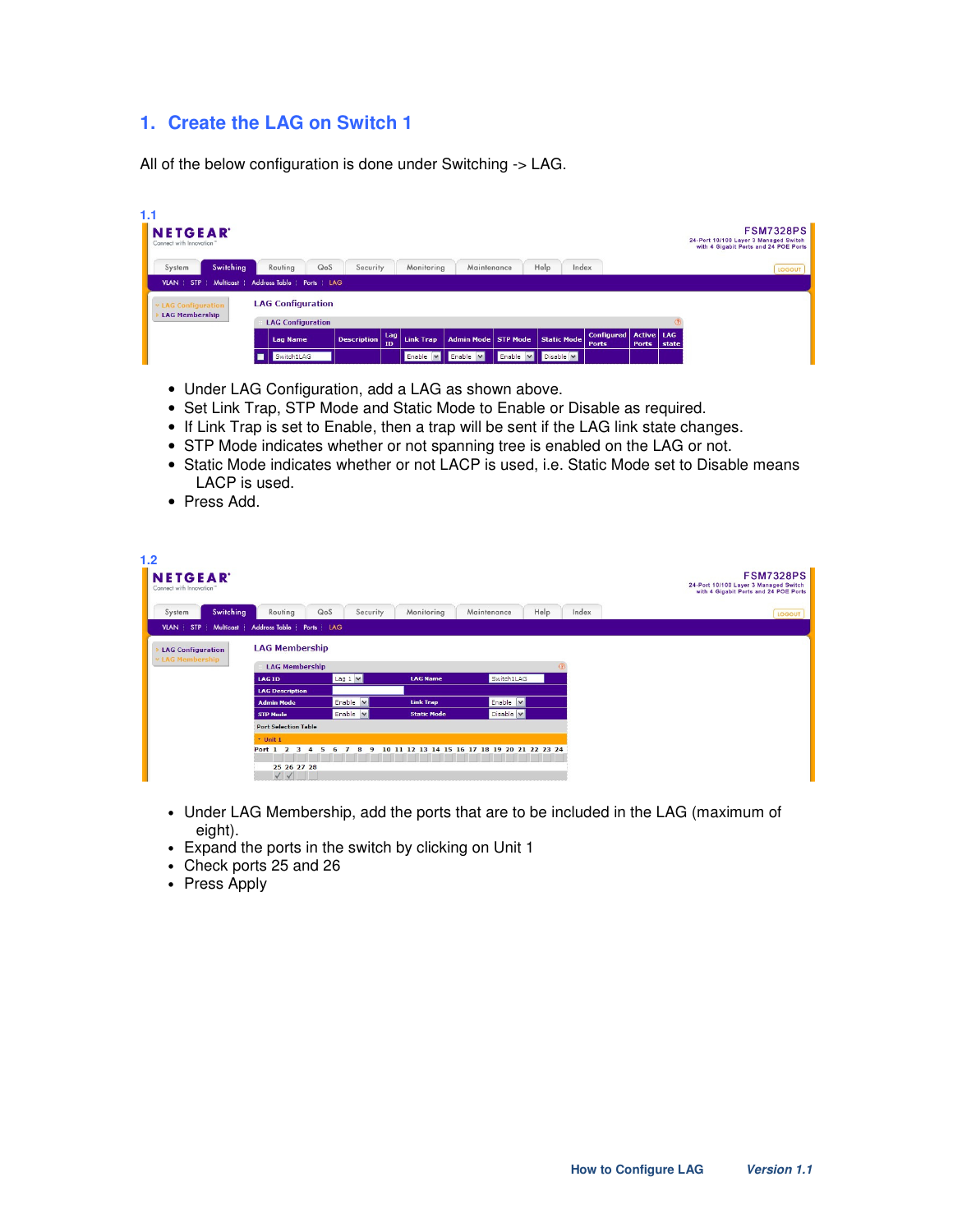# **1. Create the LAG on Switch 1**

All of the below configuration is done under Switching -> LAG.

| 1.1 | <b>NETGEAR</b><br>Connect with Innovation"                    |  |                          |                    |                  |                  |                       |          |                    |                                   |                     |       | <b>FSM7328PS</b><br>24-Port 10/100 Layer 3 Managed Switch<br>with 4 Gigabit Ports and 24 POE Ports |        |
|-----|---------------------------------------------------------------|--|--------------------------|--------------------|------------------|------------------|-----------------------|----------|--------------------|-----------------------------------|---------------------|-------|----------------------------------------------------------------------------------------------------|--------|
|     | Switching<br>System                                           |  | QoS<br>Routing           | Security           |                  | Monitoring       | Maintenance           |          | Help<br>Index      |                                   |                     |       |                                                                                                    | LOGOUT |
|     | <b>Multicast</b><br>Address Table   Ports   LAG<br>VLAN   STP |  |                          |                    |                  |                  |                       |          |                    |                                   |                     |       |                                                                                                    |        |
|     | <b>v LAG Configuration</b><br><b>LAG Membership</b>           |  | <b>LAG Configuration</b> |                    |                  |                  |                       |          |                    |                                   |                     |       |                                                                                                    |        |
|     |                                                               |  | <b>LAG Configuration</b> |                    |                  |                  |                       |          |                    |                                   |                     |       |                                                                                                    |        |
|     |                                                               |  | <b>Lag Name</b>          | <b>Description</b> | Lag<br><b>TD</b> | <b>Link Trap</b> | Admin Mode   STP Mode |          | <b>Static Mode</b> | <b>Configured</b><br><b>Ports</b> | Active LAG<br>Ports | state |                                                                                                    |        |
|     |                                                               |  | Switch1LAG               |                    |                  |                  | Enable v Enable v     | Enable V | Disable <b>M</b>   |                                   |                     |       |                                                                                                    |        |

- Under LAG Configuration, add a LAG as shown above.
- Set Link Trap, STP Mode and Static Mode to Enable or Disable as required.
- If Link Trap is set to Enable, then a trap will be sent if the LAG link state changes.
- STP Mode indicates whether or not spanning tree is enabled on the LAG or not.
- Static Mode indicates whether or not LACP is used, i.e. Static Mode set to Disable means LACP is used.
- Press Add.

| 1.2<br><b>NETGEAR</b><br>Connect with Innovation"   |                                                                                     |                                    |                    |                                           |       | <b>FSM7328PS</b><br>24-Port 10/100 Layer 3 Managed Switch<br>with 4 Gigabit Ports and 24 POE Ports |
|-----------------------------------------------------|-------------------------------------------------------------------------------------|------------------------------------|--------------------|-------------------------------------------|-------|----------------------------------------------------------------------------------------------------|
| <b>Switching</b><br>System                          | Routing                                                                             | QoS<br>Security                    | Monitoring         | Help<br>Maintenance                       | Index | LOGOUT                                                                                             |
| STP<br>Multicast<br><b>VLAN</b>                     | Address Table   Ports   LAG                                                         |                                    |                    |                                           |       |                                                                                                    |
| <b>LAG Configuration</b><br><b>× LAG Membership</b> | <b>LAG Membership</b><br><b>LAG Membership</b>                                      |                                    |                    | (7)                                       |       |                                                                                                    |
|                                                     | <b>LAG ID</b>                                                                       | Lag 1 v                            | <b>LAG Name</b>    | Switch1LAG                                |       |                                                                                                    |
|                                                     | <b>LAG Description</b>                                                              |                                    |                    |                                           |       |                                                                                                    |
|                                                     | <b>Admin Mode</b>                                                                   | Enable<br>$\vert \mathbf{v} \vert$ | <b>Link Trap</b>   | Enable <b>v</b>                           |       |                                                                                                    |
|                                                     | <b>STP Mode</b>                                                                     | Enable V                           | <b>Static Mode</b> | Disable v                                 |       |                                                                                                    |
|                                                     | <b>Port Selection Table</b>                                                         |                                    |                    |                                           |       |                                                                                                    |
|                                                     | $+$ Unit 1                                                                          |                                    |                    |                                           |       |                                                                                                    |
|                                                     | Port 1<br>$\overline{\phantom{a}}$<br>з<br>25 26 27 28<br>$\checkmark$ $\checkmark$ | 8<br>в                             |                    | 11 12 13 14 15 16 17 18 19 20 21 22 23 24 |       |                                                                                                    |

- Under LAG Membership, add the ports that are to be included in the LAG (maximum of eight).
- Expand the ports in the switch by clicking on Unit 1
- Check ports 25 and 26
- Press Apply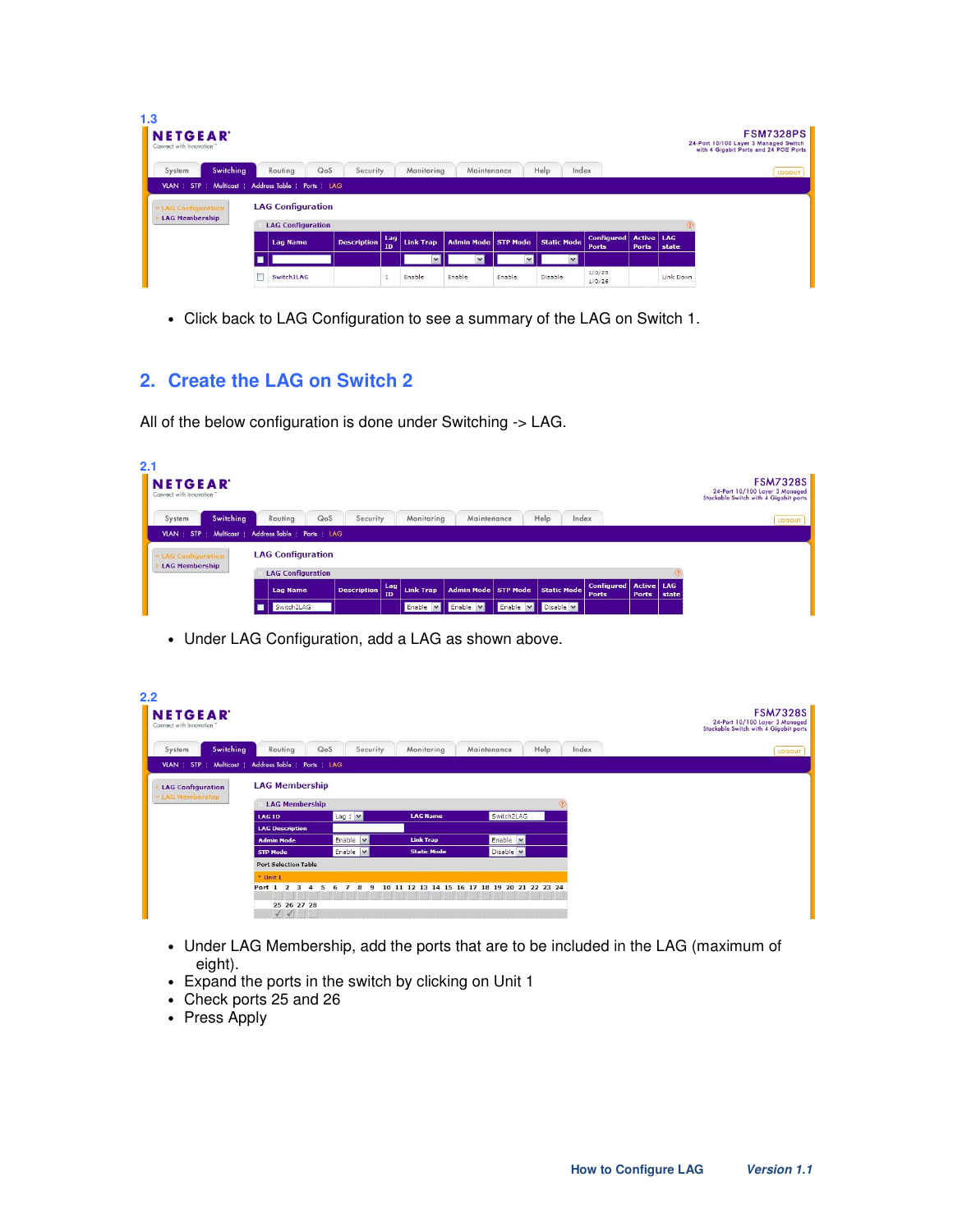| 1.3<br><b>NETGEAR</b><br>Connect with Innovation" |                             |                    |                  |                  |                              |        |               |                                   |                                     |           | 24-Port 10/100 Layer 3 Managed Switch<br>with 4 Gigabit Ports and 24 POE Ports | <b>FSM7328PS</b> |  |
|---------------------------------------------------|-----------------------------|--------------------|------------------|------------------|------------------------------|--------|---------------|-----------------------------------|-------------------------------------|-----------|--------------------------------------------------------------------------------|------------------|--|
| Switching<br>System                               | Routing<br>QoS              | Security           |                  | Monitoring       | Maintenance                  |        | Help<br>Index |                                   |                                     |           |                                                                                | LOGOUT           |  |
| VLAN   STP  <br>Multicast                         | Address Table   Ports   LAG |                    |                  |                  |                              |        |               |                                   |                                     |           |                                                                                |                  |  |
| <b>v LAG Configuration</b>                        | <b>LAG Configuration</b>    |                    |                  |                  |                              |        |               |                                   |                                     |           |                                                                                |                  |  |
| <b>LAG Membership</b>                             | <b>LAG Configuration</b>    |                    |                  |                  |                              |        |               |                                   |                                     |           |                                                                                |                  |  |
|                                                   | <b>Lag Name</b>             | <b>Description</b> | Lag<br><b>TD</b> | <b>Link Trap</b> | <b>Admin Mode   STP Mode</b> |        | Static Mode   | <b>Configured</b><br><b>Ports</b> | <b>Active   LAG</b><br><b>Ports</b> | state     |                                                                                |                  |  |
|                                                   |                             |                    |                  |                  |                              |        |               |                                   |                                     |           |                                                                                |                  |  |
|                                                   | Switch1LAG                  |                    |                  | Enable           | Enable                       | Enable | Disable       | 1/0/25<br>1/0/26                  |                                     | Link Down |                                                                                |                  |  |

• Click back to LAG Configuration to see a summary of the LAG on Switch 1.

## **2. Create the LAG on Switch 2**

All of the below configuration is done under Switching -> LAG.

| 2.1<br><b>NETGEAR</b><br>Connect with Innovation" |                             |                                        |                  |                       |                    |                                   |                            |       | <b>FSM7328S</b><br>24-Port 10/100 Layer 3 Managed<br>Stackable Switch with 4 Gigabit ports |
|---------------------------------------------------|-----------------------------|----------------------------------------|------------------|-----------------------|--------------------|-----------------------------------|----------------------------|-------|--------------------------------------------------------------------------------------------|
| Switching<br>System                               | QoS<br>Routing              | Security                               | Monitoring       | Maintenance           | Help               | Index                             |                            |       | LOGOUT                                                                                     |
| <b>Multicast</b><br><b>VLAN STP</b>               | Address Table   Ports   LAG |                                        |                  |                       |                    |                                   |                            |       |                                                                                            |
| <b>v LAG Configuration</b>                        | <b>LAG Configuration</b>    |                                        |                  |                       |                    |                                   |                            |       |                                                                                            |
| <b>LAG Membership</b>                             | <b>LAG Configuration</b>    |                                        |                  |                       |                    |                                   |                            |       |                                                                                            |
|                                                   | <b>Lag Name</b>             | Lag<br><b>Description</b><br><b>TD</b> | <b>Link Trap</b> | Admin Mode   STP Mode | <b>Static Mode</b> | <b>Configured</b><br><b>Ports</b> | Active LAG<br><b>Ports</b> | state |                                                                                            |
|                                                   | Switch2LAG                  |                                        | Enable <b>v</b>  | Enable V              | Enable v Disable v |                                   |                            |       |                                                                                            |

• Under LAG Configuration, add a LAG as shown above.

| 2.2<br><b>NETGEAR</b><br>Connect with Innovation" |                                                                           |                 |                    |                               |            | <b>FSM7328S</b><br>24-Port 10/100 Layer 3 Managed<br>Stackable Switch with 4 Gigabit ports |
|---------------------------------------------------|---------------------------------------------------------------------------|-----------------|--------------------|-------------------------------|------------|--------------------------------------------------------------------------------------------|
| Switching<br>System                               | Routing                                                                   | QoS<br>Security | Monitoring         | Help<br>Maintenance           | Index      | LOGOUT                                                                                     |
| Multicast  <br><b>VLAN</b> STP                    | Address Table   Ports   LAG                                               |                 |                    |                               |            |                                                                                            |
| <b>LAG Configuration</b><br><b>LAG Membership</b> | <b>LAG Membership</b><br><b>LAG Membership</b>                            |                 |                    |                               | $\sqrt{2}$ |                                                                                            |
|                                                   | <b>LAG ID</b>                                                             | Lag 1 v         | <b>LAG Name</b>    | Switch2LAG                    |            |                                                                                            |
|                                                   | <b>LAG Description</b>                                                    |                 |                    |                               |            |                                                                                            |
|                                                   | <b>Admin Mode</b>                                                         | Enable <b>v</b> | <b>Link Trap</b>   | Enable <b>v</b>               |            |                                                                                            |
|                                                   | <b>STP Mode</b>                                                           | Enable <b>M</b> | <b>Static Mode</b> | Disable <b>v</b>              |            |                                                                                            |
|                                                   | <b>Port Selection Table</b>                                               |                 |                    |                               |            |                                                                                            |
|                                                   | $*$ Unit 1                                                                |                 |                    |                               |            |                                                                                            |
|                                                   | Port 1<br>$\overline{ }$<br>в<br>25 26 27 28<br>$\checkmark$ $\checkmark$ |                 | 12<br>13<br>14     | 15 16 17 18 19 20 21 22 23 24 |            |                                                                                            |

- Under LAG Membership, add the ports that are to be included in the LAG (maximum of eight).
- Expand the ports in the switch by clicking on Unit 1
- Check ports 25 and 26
- Press Apply